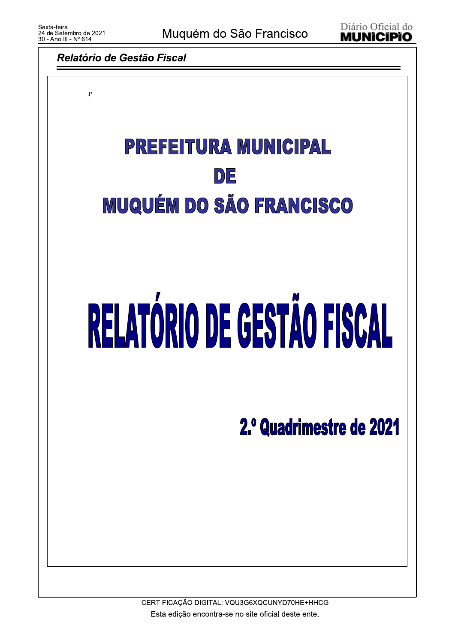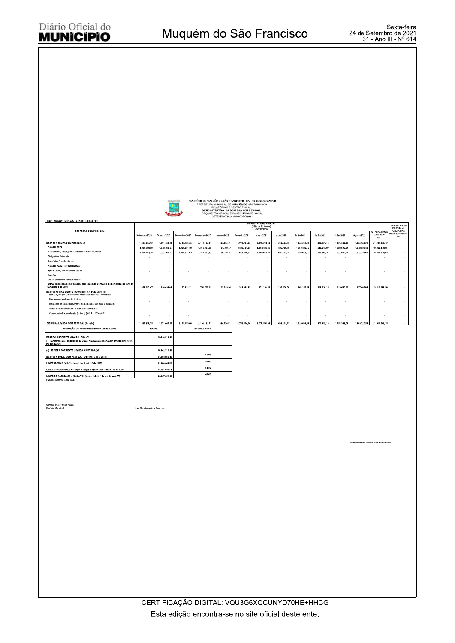

CÍPIO DE MUQUÉM DE SÃO FRANCISCO - BA - PODER EXECUTIVO<br>PREFEITURA MUNICIPAL DE MUQUÉM DE SÁ FRANCISCO<br>DEMONSTRATIVO DA DESPISO FISCAL FRANCISCO<br>DEMONSTRATIVO DA DESPESA COM PESSOAL<br>ORÇAMENTOS FISCAL E DA SECURIDADE SOCIAL

|                                                                                                                   |                                         |                        |               |               |                          | SETEMBRU ZUZU A AGUSTU ZUZT |                            |              |              |                                 |                          |              |                                         |                                 |
|-------------------------------------------------------------------------------------------------------------------|-----------------------------------------|------------------------|---------------|---------------|--------------------------|-----------------------------|----------------------------|--------------|--------------|---------------------------------|--------------------------|--------------|-----------------------------------------|---------------------------------|
| RGF - ANEXO 1 (LRF, art. 55, inciso I, alinea "a")                                                                |                                         |                        |               |               |                          |                             | <b>DESPESAS EXECUTADAS</b> |              |              |                                 |                          |              |                                         |                                 |
|                                                                                                                   | (Ultimos 12 Meses)<br><b>LIQUIDADAS</b> |                        |               |               |                          |                             |                            |              |              | <b>INSCRITAS EM</b><br>RESTOS A |                          |              |                                         |                                 |
| <b>DESPESAS COM PESSOAL</b>                                                                                       | Setembro/2020                           | Outubra/2020           | Novembro/2020 | Dezembro/2020 | Janeiro/2021             | Fevereiro/2021              | Março/2021                 | Abril 2021   | Maio/2021    | Junho/2021                      | Julho/2021               | Aposto/2021  | <b>TOTAL/ÚLTIMO</b><br>12 MESES)<br>(a) | PAGAR NÃO<br>PROCESSADOS<br>(b) |
| <b>DESPESA BRUTA COM PESSOAL (I)</b>                                                                              | 1.426.139,75                            | 1.571.446,46           | 2.165.453,60  | 2.114.122,61  | 318.638,51               | 2.752.584,36                | 2.070.566,09               | 1.689.239,33 | 1.820.687,67 | 1.973.752,13                    | 1.852.311,07             | 1.909.720,57 | 21.664.662.15                           |                                 |
| Pessoal Ativo                                                                                                     | 1.036.789,28                            | 1.272.948.57           | 1.998.331,49  | 1.317.367.22  | 164.738,57               | 2.422.584,63                | 1.868.427,47               | 1.490.739.33 | 1.558.429,10 | 1.713.941.97                    | 1.522.640,54             | 1.672.232.48 | 18.039.170,65                           |                                 |
| Vencimentos, Vantagens e Outras Despesas Variavéis                                                                | 1.036.789,28                            | 1.272.948.57           | 1.998.331,49  | 1.317.367,22  | 164.738,57               | 2.422.584,63                | 1.868.427,47               | 1.490.739,33 | 1.558.429,10 | 1.713.941.97                    | 1.522.640.54             | 1.672.232,48 | 18.039.170.65                           |                                 |
| Obrigações Patronais                                                                                              |                                         |                        |               |               |                          |                             |                            |              |              |                                 |                          |              |                                         |                                 |
| Beneficios Previdenciários                                                                                        |                                         |                        |               |               |                          | $\sim$                      | ×                          | ٠            | ٠            | ٠                               | ٠                        |              |                                         |                                 |
| Pessoal Inativo e Pensionistas                                                                                    |                                         |                        |               | $\sim$        | $\overline{\phantom{a}}$ | $\ddot{\phantom{0}}$        | ٠                          | ٠            | ٠            | $\sim$                          | ٠                        |              | $\cdot$                                 |                                 |
| Aposentados. Reserva e Reformas                                                                                   |                                         |                        |               |               |                          | ÷                           | ×.                         | ٠            | ×            | ×                               |                          |              |                                         |                                 |
| Pensões                                                                                                           |                                         |                        |               |               |                          |                             |                            |              |              |                                 |                          |              |                                         |                                 |
| Outros Beneficios Previdenciários                                                                                 |                                         |                        |               |               |                          | ×.                          | $\sim$                     |              |              |                                 |                          |              |                                         |                                 |
| Outras Despesas com Pessoal decorrentes de Contratos de Terceirização (art. 18<br>Parágrafo 1 da LRF)             | 389.350,47                              | 298.497.89             | 167.122,11    | 796.755,39    | 153.899,94               | 329.999,73                  | 202.138,62                 | 198,500.00   | 262.258,57   | 259.810.16                      | 329.670,53               | 237.488.09   | 3.625.491.50                            |                                 |
| DESPESAS NÃO COMPUTADAS (art.19, § 1º da LRF) (II)<br>Indenizações por Demissão e Incentivo à Demissão Voluntária |                                         | ٠                      |               |               | $\sim$                   |                             | ٠                          |              | ٠            | ٠                               | $\overline{\phantom{a}}$ | ٠            |                                         |                                 |
| Decorrentes de Decisão Judicial                                                                                   |                                         |                        |               |               |                          | ×.                          | $\sim$<br>$\sim$           |              | ٠            | $\overline{\phantom{a}}$        | $\overline{\phantom{a}}$ |              |                                         |                                 |
| Despesas de Exercícios Anteriores de período amterior a apuração                                                  |                                         |                        |               |               |                          |                             |                            |              |              |                                 |                          |              |                                         |                                 |
| Inativos e Pensionistas com Recursos Vinculados                                                                   |                                         |                        |               |               |                          |                             |                            |              |              |                                 |                          |              |                                         |                                 |
| Convocação Extraordinária (Inciso II, § 6 <sup>9</sup> , Art. 57 da CF                                            |                                         |                        |               |               |                          |                             |                            |              |              |                                 |                          |              |                                         |                                 |
| DESPESA LIQUIDA COM PESSOAL (III) = (I-II)                                                                        | 1.426.139.75                            | 1.571.446.46           | 2.165.453.60  | 2.114.122.61  | 318,638.51               | 2.752.584.36                | 2.070.566.09               | 1,689,239,33 | 1.820.687.67 | 1.973.752.13                    | 1.852.311.07             | 1.909.720.57 | 21.664.662.15                           |                                 |
| APURACÃO DO CUMPRIMENTO DO LIMITE LEGAL                                                                           | VALOR                                   |                        |               | % SOBRE A RCL |                          |                             |                            |              |              |                                 |                          |              |                                         |                                 |
|                                                                                                                   |                                         |                        |               |               |                          |                             |                            |              |              |                                 |                          |              |                                         |                                 |
| RECEITA CORRENTE LÍQUIDA - RCL (IV)                                                                               |                                         | 40.942.313,94          |               |               |                          |                             |                            |              |              |                                 |                          |              |                                         |                                 |
| (-) Transferências obrigatórias da União relativas às emendas individuais(V) (§ 13,<br>art. 166 da CF)            |                                         |                        |               |               |                          |                             |                            |              |              |                                 |                          |              |                                         |                                 |
| (=) RECEITA CORRENTE LÍQUIDA AJUSTADA (VI)                                                                        |                                         | 40.942.313.94          |               |               |                          |                             |                            |              |              |                                 |                          |              |                                         |                                 |
| DESPESA TOTAL COM PESSOAL - DTP (VII) = (III a + III b)                                                           | 52.92<br>21.664.662.15                  |                        |               |               |                          |                             |                            |              |              |                                 |                          |              |                                         |                                 |
| LIMITE MÁXIMO (VIII) (incisos I, II e III, art. 20 da LRF)                                                        | 54,00<br>22.108.849.53                  |                        |               |               |                          |                             |                            |              |              |                                 |                          |              |                                         |                                 |
| LIMITE PRUDENCIAL (IX) = (0.95 x VIII) (parágrafo único do art. 22 da LRF)                                        |                                         | 51.30<br>31.621.636.11 |               |               |                          |                             |                            |              |              |                                 |                          |              |                                         |                                 |
| LIMITE DE ALERTA (X) = (0,90 x VIII) (inciso II do §1º do art. 59 da LRF)                                         |                                         | 19.897.964.57          |               | 48.60         |                          |                             |                            |              |              |                                 |                          |              |                                         |                                 |
| FONTE: Sistema Betha Sapo                                                                                         |                                         |                        |               |               |                          |                             |                            |              |              |                                 |                          |              |                                         |                                 |

Gilmaria Rios Pereira Araújo

Sec Planejamento e Financas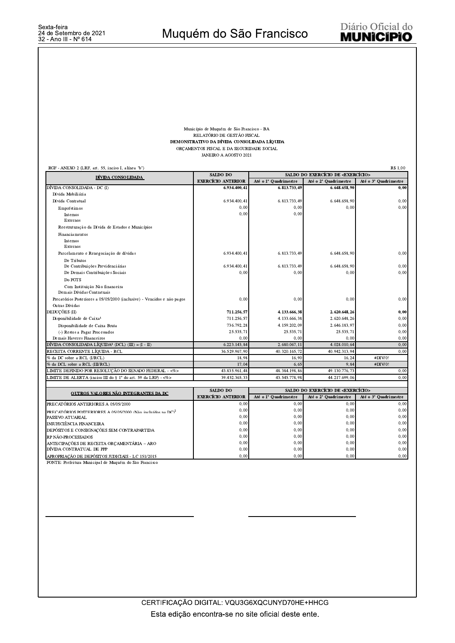## Município de Muquém de São Francisco - BA RELATÓRIO DE GESTÃO FISCAL DEMONSTRATIVO DA DÍVIDA CONSOLIDADA LÍQUIDA ORÇAMENTOS FISCAL E DA SEGURIDADE SOCIAL JANEIRO A AGOSTO 2021

| R\$ 1,00<br>RGF - ANEXO 2 (LRF, art. 55, inciso I, alínea "b")          |                                                           |                                               |                       |                       |  |  |
|-------------------------------------------------------------------------|-----------------------------------------------------------|-----------------------------------------------|-----------------------|-----------------------|--|--|
| DÍVIDA CONSOLIDADA                                                      | SALDO DO                                                  | SALDO DO EXERCÍCIO DE <exercício></exercício> |                       |                       |  |  |
|                                                                         | <b>EXERCÍCIO ANTERIOR</b>                                 | Até o 1º Quadrimestre                         | Até o 2° Quadrimestre | Até o 3º Quadrimestre |  |  |
| DÍVIDA CONSOLIDADA - DC (I)                                             | 6.934.400.41                                              | 6.813.733.49                                  | 6.648.658.90          | 0.00                  |  |  |
| Dívida Mobiliária                                                       |                                                           |                                               |                       |                       |  |  |
| Dívida Contratual                                                       | 6.934.400,41                                              | 6.813.733,49                                  | 6.648.658,90          | 0,00                  |  |  |
| Empréstimos                                                             | 0,00                                                      | 0,00                                          | 0.00                  | 0.00                  |  |  |
| Internos                                                                | 0.00                                                      | 0.00                                          |                       |                       |  |  |
| Externos                                                                |                                                           |                                               |                       |                       |  |  |
| Reestruturação da Dívida de Estados e Municípios                        |                                                           |                                               |                       |                       |  |  |
| Financiamentos                                                          |                                                           |                                               |                       |                       |  |  |
| Internos                                                                |                                                           |                                               |                       |                       |  |  |
| Externos                                                                |                                                           |                                               |                       |                       |  |  |
| Parcelamento e Renegociação de dívidas                                  | 6.934.400.41                                              | 6.813.733,49                                  | 6.648.658.90          | 0.00                  |  |  |
| De Tributos                                                             |                                                           |                                               |                       |                       |  |  |
| De Contribuições Previdenciárias                                        | 6.934.400,41                                              | 6.813.733,49                                  | 6.648.658,90          | 0,00                  |  |  |
| De Demais Contribuições Sociais                                         | 0,00                                                      | 0,00                                          | 0.00                  | 0.00                  |  |  |
| Do FGTS                                                                 |                                                           |                                               |                       |                       |  |  |
| Com Instituição Não financeira                                          |                                                           |                                               |                       |                       |  |  |
| Demais Dívidas Contratuais                                              |                                                           |                                               |                       |                       |  |  |
| Precatórios Posteriores a 05/05/2000 (inclusive) - Vencidos e não pagos | 0,00                                                      | 0.00                                          | 0.00                  | 0,00                  |  |  |
| Outras Dívidas                                                          |                                                           |                                               |                       |                       |  |  |
| DEDUÇÕES (II)                                                           | 711.256.57                                                | 4.133.666.38                                  | 2.620.648,26          | 0,00                  |  |  |
| Disponibilidade de Caixa <sup>1</sup>                                   | 711.256.57                                                | 4.133.666,38                                  | 2.620.648,26          | 0,00                  |  |  |
| Disponibilidade de Caixa Bruta                                          | 736.792,28                                                | 4.159.202,09                                  | 2.646.183,97          | 0,00                  |  |  |
| (-) Restos a Pagar Processados                                          | 25.535,71                                                 | 25.535,71                                     | 25.535,71             | 0,00                  |  |  |
| Demais Haveres Financeiros                                              | 0.00                                                      | 0.00                                          | 0.00                  | 0.00                  |  |  |
| DÍVIDA CONSOLIDADA LÍQUIDA <sup>2</sup> (DCL) (III) = $(I - II)$        | 6.223.143.84                                              | 2.680.067.11                                  | 4.028.010.64          | 0.00                  |  |  |
| RECEITA CORRENTE LÍOUIDA - RCL                                          | 36.529.967,90                                             | 40.320.165,72                                 | 40.942.313,94         | 0,00                  |  |  |
| % da DC sobre a RCL (I/RCL)                                             | 18,98                                                     | 16,90                                         | 16,24                 | #DIV/0!               |  |  |
| % da DCL sobre a RCL (III/RCL)                                          | 17,04                                                     | 6,65                                          | 9.84                  | #DIV/0!               |  |  |
| LIMITE DEFINIDO POR RESOLUÇÃO DO SENADO FEDERAL - <%>                   | 43.835.961.48                                             | 48.384.198.86                                 | 49.130.776,73         | 0.00                  |  |  |
| LIMITE DE ALERTA (inciso III do § 1° do art. 59 da LRF) - <%>           | 39.452.365.33                                             | 43.545.778.98                                 | 44.217.699.06         | 0.00                  |  |  |
|                                                                         | SALDO DO<br>SALDO DO EXERCÍCIO DE <exercício></exercício> |                                               |                       |                       |  |  |
| OUTROS VALORES NÃO INTEGRANTES DA DC                                    | <b>EXERCÍCIO ANTERIOR</b>                                 | Até o 1º Quadrimestre                         | Até o 2° Quadrimestre | Até o 3º Quadrimestre |  |  |
| PRECATÓRIOS ANTERIORES A 05/05/2000                                     | 0,00                                                      | 0,00                                          | 0.00                  | 0,00                  |  |  |
| PRECATÓRIOS POSTERIORES A 05/05/2000 (Não incluídos na DC) <sup>2</sup> | 0,00                                                      | 0.00                                          | 0.00                  | 0,00                  |  |  |
| PASSIVO ATUARIAL                                                        | 0,00                                                      | 0,00                                          | 0,00                  | 0,00                  |  |  |
| INSUFICIÊNCIA FINANCEIRA                                                | 0,00                                                      | 0,00                                          | 0,00                  | 0,00                  |  |  |
| DEPÓSITOS E CONSIGNAÇÕES SEM CONTRAPARTIDA                              | 0,00                                                      | 0,00                                          | 0,00                  | 0,00                  |  |  |
| RP NÃO-PROCESSADOS                                                      | 0,00                                                      | 0,00                                          | 0.00                  | 0.00                  |  |  |
| ANTECIPAÇÕES DE RECEITA ORÇAMENTÁRIA - ARO                              | 0,00                                                      | 0,00                                          | 0.00                  | 0,00                  |  |  |
| DÍVIDA CONTRATUAL DE PPP                                                | 0,00                                                      | 0,00                                          | 0,00                  | 0,00                  |  |  |
| APROPRIAÇÃO DE DEPÓSITOS JUDICIAIS - LC 151/2015                        | 0.00                                                      | 0.00                                          | 0.00                  | 0.00                  |  |  |

FONTE: Prefeitura Municipal de Muquém do São Francisco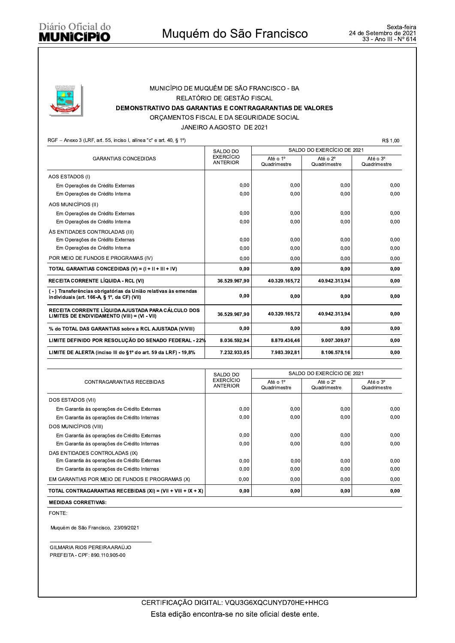

## MUNICÍPIO DE MUQUÉM DE SÃO FRANCISCO - BA RELATÓRIO DE GESTÃO FISCAL DEMONSTRATIVO DAS GARANTIAS E CONTRAGARANTIAS DE VALORES ORÇAMENTOS FISCAL E DA SEGURIDADE SOCIAL

JANEIRO A AGOSTO DE 2021

RGF - Anexo 3 (LRF, art. 55, inciso I, alínea "c" e art. 40, § 1º)

R\$ 1,00

|                                                                                                              | SALDO DO                            | SALDO DO EXERCÍCIO DE 2021 |                          |                          |  |  |
|--------------------------------------------------------------------------------------------------------------|-------------------------------------|----------------------------|--------------------------|--------------------------|--|--|
| <b>GARANTIAS CONCEDIDAS</b>                                                                                  | <b>EXERCÍCIO</b><br><b>ANTERIOR</b> | Até o 1º<br>Quadrimestre   | Até o 2°<br>Quadrimestre | Até o 3°<br>Quadrimestre |  |  |
| AOS ESTADOS (I)                                                                                              |                                     |                            |                          |                          |  |  |
| Em Operações de Crédito Externas                                                                             | 0,00                                | 0,00                       | 0,00                     | 0,00                     |  |  |
| Em Operações de Crédito Interna                                                                              | 0.00                                | 0.00                       | 0.00                     | 0.00                     |  |  |
| AOS MUNICÍPIOS (II)                                                                                          |                                     |                            |                          |                          |  |  |
| Em Operações de Crédito Externas                                                                             | 0.00                                | 0.00                       | 0.00                     | 0,00                     |  |  |
| Em Operações de Crédito Interna                                                                              | 0.00                                | 0.00                       | 0.00                     | 0.00                     |  |  |
| ÀS ENTIDADES CONTROLADAS (III)                                                                               |                                     |                            |                          |                          |  |  |
| Em Operações de Crédito Externas                                                                             | 0,00                                | 0,00                       | 0,00                     | 0,00                     |  |  |
| Em Operações de Crédito Interna                                                                              | 0,00                                | 0.00                       | 0.00                     | 0,00                     |  |  |
| POR MEIO DE FUNDOS E PROGRAMAS (IV)                                                                          | 0,00                                | 0,00                       | 0,00                     | 0,00                     |  |  |
| TOTAL GARANTIAS CONCEDIDAS (V) = $(I + II + III + IV)$                                                       | 0.00                                | 0,00                       | 0,00                     | 0,00                     |  |  |
| <b>RECEITA CORRENTE LÍQUIDA - RCL (VI)</b>                                                                   | 36.529.967.90                       | 40.320.165.72              | 40.942.313.94            | 0,00                     |  |  |
| (-) Transferências obrigatórias da União relativas às emendas<br>individuais (art. 166-A, § 1°, da CF) (VII) | 0.00                                | 0,00                       | 0,00                     | 0.00                     |  |  |
| RECEITA CORRENTE LÍQUIDA AJUSTADA PARA CÁLCULO DOS<br>LIMITES DE ENDIVIDAMENTO (VIII) = (VI - VII)           | 36.529.967.90                       | 40.320.165,72              | 40.942.313,94            | 0,00                     |  |  |
| % do TOTAL DAS GARANTIAS sobre a RCL AJUSTADA (V/VIII)                                                       | 0,00                                | 0.00                       | 0.00                     | 0,00                     |  |  |
| LIMITE DEFINIDO POR RESOLUÇÃO DO SENADO FEDERAL - 22%                                                        | 8.036.592.94                        | 8.870.436.46               | 9.007.309.07             | 0,00                     |  |  |
| LIMITE DE ALERTA (inciso III do 61° do art. 59 da LRF) - 19.8%                                               | 7.232.933.65                        | 7.983.392.81               | 8.106.578.16             | 0.00                     |  |  |

|                                                                | SALDO DO                            | SALDO DO EXERCÍCIO DE 2021           |                          |                          |  |  |
|----------------------------------------------------------------|-------------------------------------|--------------------------------------|--------------------------|--------------------------|--|--|
| CONTRAGARANTIAS RECEBIDAS                                      | <b>EXERCÍCIO</b><br><b>ANTERIOR</b> | Até o 1 <sup>°</sup><br>Quadrimestre | Até o 2°<br>Quadrimestre | Até o 3°<br>Quadrimestre |  |  |
| DOS ESTADOS (VII)                                              |                                     |                                      |                          |                          |  |  |
| Em Garantia às operações de Crédito Externas                   | 0.00                                | 0.00                                 | 0.00                     | 0.00                     |  |  |
| Em Garantia às operações de Crédito Internas                   | 0,00                                | 0,00                                 | 0,00                     | 0.00                     |  |  |
| DOS MUNICÍPIOS (VIII)                                          |                                     |                                      |                          |                          |  |  |
| Em Garantia às operações de Crédito Externas                   | 0,00                                | 0,00                                 | 0,00                     | 0.00                     |  |  |
| Em Garantia às operações de Crédito Internas                   | 0,00                                | 0,00                                 | 0,00                     | 0.00                     |  |  |
| DAS ENTIDADES CONTROLADAS (IX)                                 |                                     |                                      |                          |                          |  |  |
| Em Garantia às operações de Crédito Externas                   | 0,00                                | 0,00                                 | 0,00                     | 0,00                     |  |  |
| Em Garantia às operações de Crédito Internas                   | 0,00                                | 0,00                                 | 0.00                     | 0.00                     |  |  |
| EM GARANTIAS POR MEIO DE FUNDOS E PROGRAMAS (X)                | 0,00                                | 0,00                                 | 0,00                     | 0,00                     |  |  |
| TOTAL CONTRAGARANTIAS RECEBIDAS $(XI) = (VII + VIII + IX + X)$ | 0,00                                | 0,00                                 | 0,00                     | 0,00                     |  |  |

**MEDIDAS CORRETIVAS:** 

FONTE:

Muquém de São Francisco, 23/09/2021

GILMARIA RIOS PEREIRA ARAÚJO PREFEITA - CPF: 890.110.905-00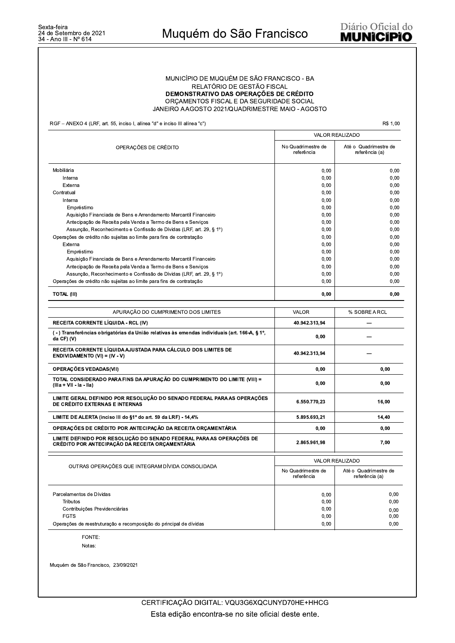## MUNICÍPIO DE MUQUÉM DE SÃO FRANCISCO - BA RELATÓRIO DE GESTÃO FISCAL DEMONSTRATIVO DAS OPERAÇÕES DE CRÉDITO ORÇAMENTOS FISCAL E DA SEGURIDADE SOCIAL JANEIRO A AGOSTO 2021/QUADRIMESTRE MAIO - AGOSTO

RGF - ANEXO 4 (LRF, art. 55, inciso I, alínea "d" e inciso III alínea "c")

R\$ 1,00

|                                                                                                                         | <b>VALOR REALIZADO</b>           |                                         |  |  |
|-------------------------------------------------------------------------------------------------------------------------|----------------------------------|-----------------------------------------|--|--|
| OPERAÇÕES DE CRÉDITO                                                                                                    | No Quadrimestre de<br>referência | Até o Quadrimestre de<br>referência (a) |  |  |
| Mobiliária                                                                                                              | 0,00                             | 0,00                                    |  |  |
| Interna                                                                                                                 | 0,00                             | 0,00                                    |  |  |
| Externa                                                                                                                 | 0,00                             | 0,00                                    |  |  |
| Contratual                                                                                                              | 0.00                             | 0,00                                    |  |  |
| Interna                                                                                                                 | 0,00                             | 0,00                                    |  |  |
| Empréstimo                                                                                                              | 0,00                             | 0,00                                    |  |  |
| Aquisição Financiada de Bens e Arrendamento Mercantil Financeiro                                                        | 0,00                             | 0,00                                    |  |  |
| Antecipação de Receita pela Venda a Termo de Bens e Serviços                                                            | 0.00                             | 0,00                                    |  |  |
| Assunção, Reconhecimento e Confissão de Dívidas (LRF, art. 29, § 1º)                                                    | 0,00                             | 0,00                                    |  |  |
| Operações de crédito não sujeitas ao limite para fins de contratação                                                    | 0,00                             | 0,00                                    |  |  |
| Externa                                                                                                                 | 0,00                             | 0,00                                    |  |  |
| Empréstimo                                                                                                              | 0,00                             | 0,00                                    |  |  |
| Aquisição Financiada de Bens e Arrendamento Mercantil Financeiro                                                        | 0.00                             | 0,00                                    |  |  |
| Antecipação de Receita pela Venda a Termo de Bens e Serviços                                                            | 0,00                             | 0,00                                    |  |  |
| Assunção, Reconhecimento e Confissão de Dívidas (LRF, art. 29, § 1º)                                                    | 0,00                             | 0,00                                    |  |  |
| Operações de crédito não sujeitas ao limite para fins de contratação                                                    | 0,00                             | 0,00                                    |  |  |
| <b>TOTAL (III)</b>                                                                                                      | 0.00                             | 0,00                                    |  |  |
|                                                                                                                         |                                  |                                         |  |  |
| APURAÇÃO DO CUMPRIMENTO DOS LIMITES                                                                                     | <b>VALOR</b>                     | % SOBRE A RCL                           |  |  |
| RECEITA CORRENTE LÍQUIDA - RCL (IV)                                                                                     | 40.942.313,94                    |                                         |  |  |
| (-) Transferências obrigatórias da União relativas às emendas individuais (art. 166-A, § 1º,<br>da CF) (V)              | 0,00                             |                                         |  |  |
| RECEITA CORRENTE LÍQUIDA AJUSTADA PARA CÁLCULO DOS LIMITES DE<br><b>ENDIVIDAMENTO (VI) = (IV - V)</b>                   | 40.942.313.94                    |                                         |  |  |
| OPERAÇÕES VEDADAS(VII)                                                                                                  | 0,00                             | 0,00                                    |  |  |
| TOTAL CONSIDERADO PARA FINS DA APURAÇÃO DO CUMPRIMENTO DO LIMITE (VIII) =<br>$(IIIa + VII - Ia - IIa)$                  | 0,00                             | 0,00                                    |  |  |
| LIMITE GERAL DEFINIDO POR RESOLUÇÃO DO SENADO FEDERAL PARA AS OPERAÇÕES<br>DE CRÉDITO EXTERNAS E INTERNAS               | 6.550.770,23                     | 16,00                                   |  |  |
| LIMITE DE ALERTA (inciso III do §1º do art. 59 da LRF) - 14,4%                                                          | 5.895.693,21                     | 14,40                                   |  |  |
| OPERAÇÕES DE CRÉDITO POR ANTECIPAÇÃO DA RECEITA ORÇAMENTÁRIA                                                            | 0,00                             | 0,00                                    |  |  |
| LIMITE DEFINIDO POR RESOLUÇÃO DO SENADO FEDERAL PARA AS OPERAÇÕES DE<br>CRÉDITO POR ANTECIPAÇÃO DA RECEITA ORÇAMENTÁRIA | 2.865.961,98                     | 7,00                                    |  |  |
|                                                                                                                         | <b>VALOR REALIZADO</b>           |                                         |  |  |
| OUTRAS OPERAÇÕES QUE INTEGRAM DÍVIDA CONSOLIDADA                                                                        | No Quadrimestre de<br>referência | Até o Quadrimestre de<br>referência (a) |  |  |
| Parcelamentos de Dívidas                                                                                                | 0,00                             | 0,00                                    |  |  |
| Tributos                                                                                                                | 0,00                             | 0,00                                    |  |  |
| Contribuições Previdenciárias                                                                                           | 0.00                             | 0.00                                    |  |  |
| <b>FGTS</b>                                                                                                             | 0,00                             | 0,00                                    |  |  |
| Operações de reestruturação e recomposição do principal de dívidas                                                      | 0.00                             | 0.00                                    |  |  |

FONTE: Notas:

Muquém de São Francisco, 23/09/2021